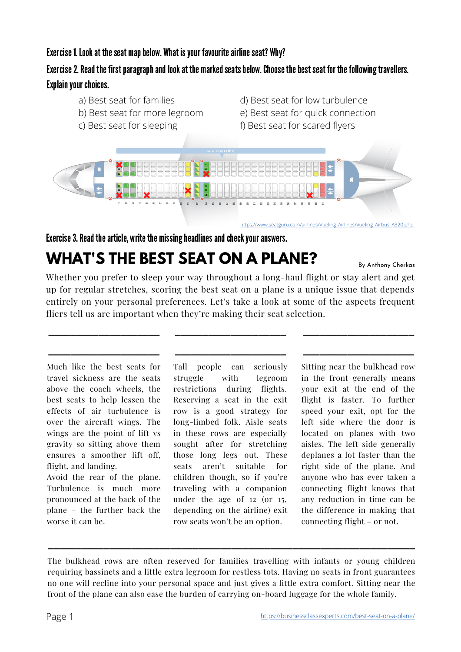## Exercise 1. Look at the seat map below. What is your favourite airline seat? Why?

# Exercise 2. Read the first paragraph and look at the marked seats below. Choose the best seat for the following travellers. Explain your choices.

- a) Best seat for families
- b) Best seat for more legroom
- c) Best seat for sleeping
- d) Best seat for low turbulence
- e) Best seat for quick connection
- f) Best seat for scared flyers



Exercise 3. Read the article, write the missing headlines and check your answers.

# **WHAT'S THE BEST SEAT ON A PLANE?**

By Anthony Cherkas

Whether you prefer to sleep your way throughout a long-haul flight or stay alert and get up for regular stretches, scoring the best seat on a plane is a unique issue that depends entirely on your personal preferences. Let's take a look at some of the aspects frequent fliers tell us are important when they're making their seat selection.

**\_\_\_\_\_\_\_\_\_\_\_\_\_\_\_\_\_\_\_\_**

**\_\_\_\_\_\_\_\_\_\_\_\_\_\_\_\_\_\_\_\_**

Much like the best seats for travel sickness are the seats above the coach wheels, the best seats to help lessen the effects of air turbulence is over the aircraft wings. The wings are the point of lift vs gravity so sitting above them ensures a smoother lift off, flight, and landing.

**\_\_\_\_\_\_\_\_\_\_\_\_\_\_\_\_\_\_\_\_**

**\_\_\_\_\_\_\_\_\_\_\_\_\_\_\_\_\_\_\_\_**

Avoid the rear of the plane. Turbulence is much more pronounced at the back of the plane – the further back the worse it can be.

Tall people can seriously struggle with legroom restrictions during flights. Reserving a seat in the exit row is a good strategy for long-limbed folk. Aisle seats in these rows are especially sought after for stretching those long legs out. These seats aren't suitable for children though, so if you're traveling with a companion under the age of 12 (or 15, depending on the airline) exit row seats won't be an option.

Sitting near the bulkhead row in the front generally means your exit at the end of the flight is faster. To further speed your exit, opt for the left side where the door is located on planes with two aisles. The left side generally deplanes a lot faster than the right side of the plane. And anyone who has ever taken a connecting flight knows that any reduction in time can be the difference in making that connecting flight – or not.

**\_\_\_\_\_\_\_\_\_\_\_\_\_\_\_\_\_\_\_\_**

**\_\_\_\_\_\_\_\_\_\_\_\_\_\_\_\_\_\_\_\_**

The bulkhead rows are often reserved for families travelling with infants or young children requiring bassinets and a little extra legroom for restless tots. Having no seats in front guarantees no one will recline into your personal space and just gives a little extra comfort. Sitting near the front of the plane can also ease the burden of carrying on-board luggage for the whole family.

**\_\_\_\_\_\_\_\_\_\_\_\_\_\_\_\_\_\_\_\_\_\_\_\_\_\_\_\_\_\_\_\_\_\_\_\_\_\_\_\_\_\_\_\_\_\_\_\_\_\_\_\_\_\_\_\_\_\_\_\_\_\_\_\_\_\_**